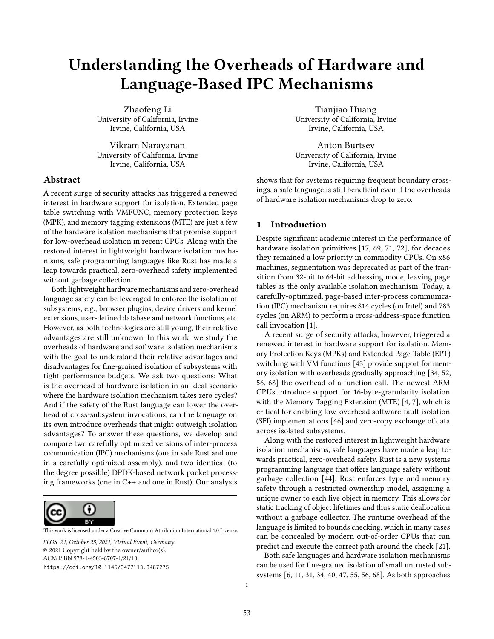# Understanding the Overheads of Hardware and Language-Based IPC Mechanisms

Zhaofeng Li University of California, Irvine Irvine, California, USA

Vikram Narayanan University of California, Irvine Irvine, California, USA

## Abstract

A recent surge of security attacks has triggered a renewed interest in hardware support for isolation. Extended page table switching with VMFUNC, memory protection keys (MPK), and memory tagging extensions (MTE) are just a few of the hardware isolation mechanisms that promise support for low-overhead isolation in recent CPUs. Along with the restored interest in lightweight hardware isolation mechanisms, safe programming languages like Rust has made a leap towards practical, zero-overhead safety implemented without garbage collection.

Both lightweight hardware mechanisms and zero-overhead language safety can be leveraged to enforce the isolation of subsystems, e.g., browser plugins, device drivers and kernel extensions, user-defined database and network functions, etc. However, as both technologies are still young, their relative advantages are still unknown. In this work, we study the overheads of hardware and software isolation mechanisms with the goal to understand their relative advantages and disadvantages for fine-grained isolation of subsystems with tight performance budgets. We ask two questions: What is the overhead of hardware isolation in an ideal scenario where the hardware isolation mechanism takes zero cycles? And if the safety of the Rust language can lower the overhead of cross-subsystem invocations, can the language on its own introduce overheads that might outweigh isolation advantages? To answer these questions, we develop and compare two carefully optimized versions of inter-process communication (IPC) mechanisms (one in safe Rust and one in a carefully-optimized assembly), and two identical (to the degree possible) DPDK-based network packet processing frameworks (one in C++ and one in Rust). Our analysis



[This work is licensed under a Creative Commons Attribution International 4.0 License.](https://creativecommons.org/licenses/by/4.0/)

PLOS '21, October 25, 2021, Virtual Event, Germany © 2021 Copyright held by the owner/author(s). ACM ISBN 978-1-4503-8707-1/21/10. https://doi.org/10.1145/3477113.3487275

Tianjiao Huang University of California, Irvine Irvine, California, USA

Anton Burtsev University of California, Irvine Irvine, California, USA

shows that for systems requiring frequent boundary crossings, a safe language is still beneficial even if the overheads of hardware isolation mechanisms drop to zero.

## 1 Introduction

Despite significant academic interest in the performance of hardware isolation primitives [\[17,](#page-6-0) [69,](#page-8-0) [71,](#page-8-1) [72\]](#page-8-2), for decades they remained a low priority in commodity CPUs. On x86 machines, segmentation was deprecated as part of the transition from 32-bit to 64-bit addressing mode, leaving page tables as the only available isolation mechanism. Today, a carefully-optimized, page-based inter-process communication (IPC) mechanism requires 814 cycles (on Intel) and 783 cycles (on ARM) to perform a cross-address-space function call invocation [\[1\]](#page-6-1).

A recent surge of security attacks, however, triggered a renewed interest in hardware support for isolation. Memory Protection Keys (MPKs) and Extended Page-Table (EPT) switching with VM functions [\[43\]](#page-7-0) provide support for memory isolation with overheads gradually approaching [\[34,](#page-7-1) [52,](#page-7-2) [56,](#page-7-3) [68\]](#page-8-3) the overhead of a function call. The newest ARM CPUs introduce support for 16-byte-granularity isolation with the Memory Tagging Extension (MTE) [\[4,](#page-6-2) [7\]](#page-6-3), which is critical for enabling low-overhead software-fault isolation (SFI) implementations [\[46\]](#page-7-4) and zero-copy exchange of data across isolated subsystems.

Along with the restored interest in lightweight hardware isolation mechanisms, safe languages have made a leap towards practical, zero-overhead safety. Rust is a new systems programming language that offers language safety without garbage collection [\[44\]](#page-7-5). Rust enforces type and memory safety through a restricted ownership model, assigning a unique owner to each live object in memory. This allows for static tracking of object lifetimes and thus static deallocation without a garbage collector. The runtime overhead of the language is limited to bounds checking, which in many cases can be concealed by modern out-of-order CPUs that can predict and execute the correct path around the check [\[21\]](#page-6-4).

Both safe languages and hardware isolation mechanisms can be used for fine-grained isolation of small untrusted subsystems [\[6,](#page-6-5) [11,](#page-6-6) [31,](#page-6-7) [34,](#page-7-1) [40,](#page-7-6) [47,](#page-7-7) [55,](#page-7-8) [56,](#page-7-3) [68\]](#page-8-3). As both approaches

1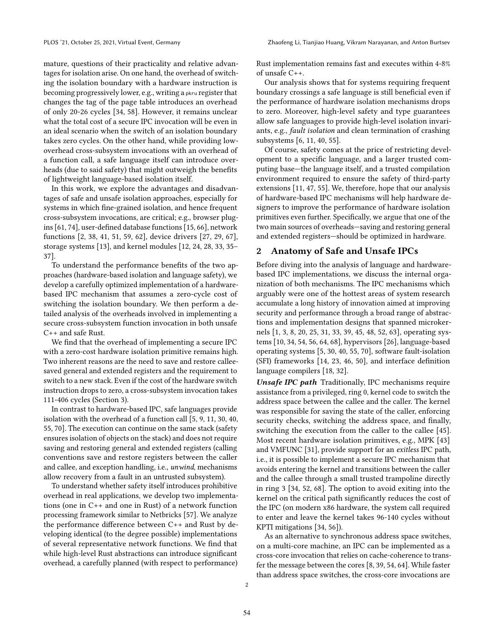mature, questions of their practicality and relative advantages for isolation arise. On one hand, the overhead of switching the isolation boundary with a hardware instruction is becoming progressively lower, e.g., writing a pkru register that changes the tag of the page table introduces an overhead of only 20-26 cycles [\[34,](#page-7-1) [58\]](#page-7-9). However, it remains unclear what the total cost of a secure IPC invocation will be even in an ideal scenario when the switch of an isolation boundary takes zero cycles. On the other hand, while providing lowoverhead cross-subsystem invocations with an overhead of a function call, a safe language itself can introduce overheads (due to said safety) that might outweigh the benefits of lightweight language-based isolation itself.

In this work, we explore the advantages and disadvantages of safe and unsafe isolation approaches, especially for systems in which fine-grained isolation, and hence frequent cross-subsystem invocations, are critical; e.g., browser plugins [\[61,](#page-7-10) [74\]](#page-8-4), user-defined database functions [\[15,](#page-6-8) [66\]](#page-8-5), network functions [\[2,](#page-6-9) [38,](#page-7-11) [41,](#page-7-12) [51,](#page-7-13) [59,](#page-7-14) [62\]](#page-7-15), device drivers [\[27,](#page-6-10) [29,](#page-6-11) [67\]](#page-8-6), storage systems [\[13\]](#page-6-12), and kernel modules [\[12,](#page-6-13) [24,](#page-6-14) [28,](#page-6-15) [33,](#page-7-16) [35–](#page-7-17) [37\]](#page-7-18).

To understand the performance benefits of the two approaches (hardware-based isolation and language safety), we develop a carefully optimized implementation of a hardwarebased IPC mechanism that assumes a zero-cycle cost of switching the isolation boundary. We then perform a detailed analysis of the overheads involved in implementing a secure cross-subsystem function invocation in both unsafe C++ and safe Rust.

We find that the overhead of implementing a secure IPC with a zero-cost hardware isolation primitive remains high. Two inherent reasons are the need to save and restore calleesaved general and extended registers and the requirement to switch to a new stack. Even if the cost of the hardware switch instruction drops to zero, a cross-subsystem invocation takes 111-406 cycles [\(Section 3\)](#page-3-0).

In contrast to hardware-based IPC, safe languages provide isolation with the overhead of a function call [\[5,](#page-6-16) [9,](#page-6-17) [11,](#page-6-6) [30,](#page-6-18) [40,](#page-7-6) [55,](#page-7-8) [70\]](#page-8-7). The execution can continue on the same stack (safety ensures isolation of objects on the stack) and does not require saving and restoring general and extended registers (calling conventions save and restore registers between the caller and callee, and exception handling, i.e., unwind, mechanisms allow recovery from a fault in an untrusted subsystem).

To understand whether safety itself introduces prohibitive overhead in real applications, we develop two implementations (one in C++ and one in Rust) of a network function processing framework similar to Netbricks [\[57\]](#page-7-19). We analyze the performance difference between C++ and Rust by developing identical (to the degree possible) implementations of several representative network functions. We find that while high-level Rust abstractions can introduce significant overhead, a carefully planned (with respect to performance)

Rust implementation remains fast and executes within 4-8% of unsafe C++.

Our analysis shows that for systems requiring frequent boundary crossings a safe language is still beneficial even if the performance of hardware isolation mechanisms drops to zero. Moreover, high-level safety and type guarantees allow safe languages to provide high-level isolation invariants, e.g., fault isolation and clean termination of crashing subsystems [\[6,](#page-6-5) [11,](#page-6-6) [40,](#page-7-6) [55\]](#page-7-8).

Of course, safety comes at the price of restricting development to a specific language, and a larger trusted computing base—the language itself, and a trusted compilation environment required to ensure the safety of third-party extensions [\[11,](#page-6-6) [47,](#page-7-7) [55\]](#page-7-8). We, therefore, hope that our analysis of hardware-based IPC mechanisms will help hardware designers to improve the performance of hardware isolation primitives even further. Specifically, we argue that one of the two main sources of overheads—saving and restoring general and extended registers—should be optimized in hardware.

### <span id="page-1-0"></span>2 Anatomy of Safe and Unsafe IPCs

Before diving into the analysis of language and hardwarebased IPC implementations, we discuss the internal organization of both mechanisms. The IPC mechanisms which arguably were one of the hottest areas of system research accumulate a long history of innovation aimed at improving security and performance through a broad range of abstractions and implementation designs that spanned microkernels [\[1,](#page-6-1) [3,](#page-6-19) [8,](#page-6-20) [20,](#page-6-21) [25,](#page-6-22) [31,](#page-6-7) [33,](#page-7-16) [39,](#page-7-20) [45,](#page-7-21) [48,](#page-7-22) [52,](#page-7-2) [63\]](#page-7-23), operating systems [\[10,](#page-6-23) [34,](#page-7-1) [54,](#page-7-24) [56,](#page-7-3) [64,](#page-7-25) [68\]](#page-8-3), hypervisors [\[26\]](#page-6-24), language-based operating systems [\[5,](#page-6-16) [30,](#page-6-18) [40,](#page-7-6) [55,](#page-7-8) [70\]](#page-8-7), software fault-isolation (SFI) frameworks [\[14,](#page-6-25) [23,](#page-6-26) [46,](#page-7-4) [50\]](#page-7-26), and interface definition language compilers [\[18,](#page-6-27) [32\]](#page-6-28).

Unsafe IPC path Traditionally, IPC mechanisms require assistance from a privileged, ring 0, kernel code to switch the address space between the callee and the caller. The kernel was responsible for saving the state of the caller, enforcing security checks, switching the address space, and finally, switching the execution from the caller to the callee [\[45\]](#page-7-21). Most recent hardware isolation primitives, e.g., MPK [\[43\]](#page-7-0) and VMFUNC [\[31\]](#page-6-7), provide support for an exitless IPC path, i.e., it is possible to implement a secure IPC mechanism that avoids entering the kernel and transitions between the caller and the callee through a small trusted trampoline directly in ring 3 [\[34,](#page-7-1) [52,](#page-7-2) [68\]](#page-8-3). The option to avoid exiting into the kernel on the critical path significantly reduces the cost of the IPC (on modern x86 hardware, the system call required to enter and leave the kernel takes 96-140 cycles without KPTI mitigations [\[34,](#page-7-1) [56\]](#page-7-3)).

As an alternative to synchronous address space switches, on a multi-core machine, an IPC can be implemented as a cross-core invocation that relies on cache-coherence to transfer the message between the cores [\[8,](#page-6-20) [39,](#page-7-20) [54,](#page-7-24) [64\]](#page-7-25). While faster than address space switches, the cross-core invocations are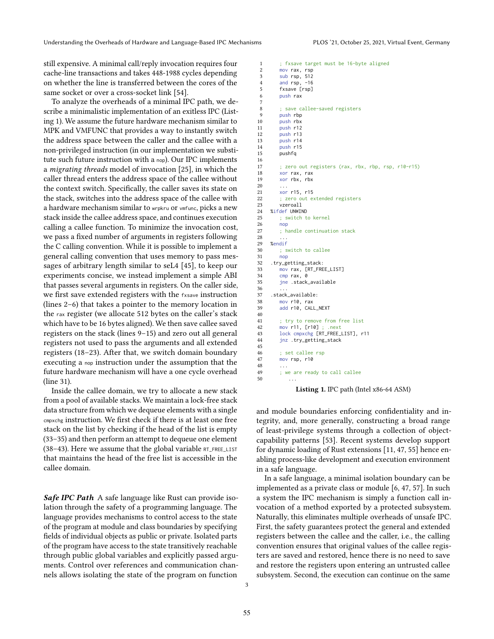still expensive. A minimal call/reply invocation requires four cache-line transactions and takes 448-1988 cycles depending on whether the line is transferred between the cores of the same socket or over a cross-socket link [\[54\]](#page-7-24).

To analyze the overheads of a minimal IPC path, we describe a minimalistic implementation of an exitless IPC [\(List](#page-2-0)[ing 1\)](#page-2-0). We assume the future hardware mechanism similar to MPK and VMFUNC that provides a way to instantly switch the address space between the caller and the callee with a non-privileged instruction (in our implementation we substitute such future instruction with a nop). Our IPC implements a migrating threads model of invocation [\[25\]](#page-6-22), in which the caller thread enters the address space of the callee without the context switch. Specifically, the caller saves its state on the stack, switches into the address space of the callee with a hardware mechanism similar to wrpkru or vmfunc, picks a new stack inside the callee address space, and continues execution calling a callee function. To minimize the invocation cost, we pass a fixed number of arguments in registers following the C calling convention. While it is possible to implement a general calling convention that uses memory to pass messages of arbitrary length similar to seL4 [\[45\]](#page-7-21), to keep our experiments concise, we instead implement a simple ABI that passes several arguments in registers. On the caller side, we first save extended registers with the fxsave instruction (lines [2](#page-2-1)[–6\)](#page-2-2) that takes a pointer to the memory location in the rax register (we allocate 512 bytes on the caller's stack which have to be 16 bytes aligned). We then save callee saved registers on the stack (lines [9](#page-2-3)[–15\)](#page-2-4) and zero out all general registers not used to pass the arguments and all extended registers [\(18–](#page-2-5)[23\)](#page-2-6). After that, we switch domain boundary executing a nop instruction under the assumption that the future hardware mechanism will have a one cycle overhead (line [31\)](#page-2-7).

Inside the callee domain, we try to allocate a new stack from a pool of available stacks. We maintain a lock-free stack data structure from which we dequeue elements with a single cmpxchg instruction. We first check if there is at least one free stack on the list by checking if the head of the list is empty [\(33–](#page-2-8)[35\)](#page-2-9) and then perform an attempt to dequeue one element  $(38-43)$  $(38-43)$ . Here we assume that the global variable  $RT$ <sub>FREE</sub>\_LIST that maintains the head of the free list is accessible in the callee domain.

Safe IPC Path A safe language like Rust can provide isolation through the safety of a programming language. The language provides mechanisms to control access to the state of the program at module and class boundaries by specifying fields of individual objects as public or private. Isolated parts of the program have access to the state transitively reachable through public global variables and explicitly passed arguments. Control over references and communication channels allows isolating the state of the program on function

```
1 ; fxsave target must be 16-byte aligned<br>2 mov rax, rsp
 2 mov rax, rsp<br>3 sub rsp, 512
 3 sub rsp, 512
 4 and rsp, -16<br>5 fxsave [rsp]
 5 fxsave [rsp]<br>6 push rax
         push rax
 7
 8 ; save callee-saved registers
9 push rbp<br>10 push rbx
10 push rbx<br>11 push r12
11 push r12<br>12 push r13
12 push r13<br>13 push r14
13 push r14<br>14 push r15
14 push r15
         pushfa
\frac{16}{17}; zero out registers (rax, rbx, rbp, rsp, r10-r15)
18 xor rax, rax<br>19 xor rbx, rbx
          xor rbx, rbx
20 ...
21 \frac{1}{22} \frac{15}{720} \frac{15}{22}: zero out extended registers
23 vzeroall
24 %ifdef UNWIND
25 ; switch to kernel
\begin{array}{ccc} 26 & & \text{nop} \\ 27 & & \text{: hi} \end{array}; handle continuation stack
28 ...
29 %endif
30 ; switch to callee
31 nop
32 .try_getting_stack:
33 mov rax, [RT_FREE_LIST]
34 cmp rax, 0<br>35 ine stack
          jne .stack_available
36
37 .stack_available:<br>38 mov.r10 rax
         mov r10, rax
39 add r10, CALL_NEXT
40
41 ; try to remove from free list
42 mov r11, [r10]; .next<br>43 lock cmpxchg FRT FREE
43 lock cmpxchg [RT_FREE_LIST], r11<br>44 inz try getting stack
         jnz .try_getting_stack
45
46 ; set callee rsp
         mov rsp, r10
48<br>49
         ; we are ready to call callee
50 ...
```
<span id="page-2-11"></span><span id="page-2-10"></span><span id="page-2-9"></span><span id="page-2-8"></span><span id="page-2-7"></span>Listing 1. IPC path (Intel x86-64 ASM)

and module boundaries enforcing confidentiality and integrity, and, more generally, constructing a broad range of least-privilege systems through a collection of objectcapability patterns [\[53\]](#page-7-27). Recent systems develop support for dynamic loading of Rust extensions [\[11,](#page-6-6) [47,](#page-7-7) [55\]](#page-7-8) hence enabling process-like development and execution environment in a safe language.

In a safe language, a minimal isolation boundary can be implemented as a private class or module [\[6,](#page-6-5) [47,](#page-7-7) [57\]](#page-7-19). In such a system the IPC mechanism is simply a function call invocation of a method exported by a protected subsystem. Naturally, this eliminates multiple overheads of unsafe IPC. First, the safety guarantees protect the general and extended registers between the callee and the caller, i.e., the calling convention ensures that original values of the callee registers are saved and restored, hence there is no need to save and restore the registers upon entering an untrusted callee subsystem. Second, the execution can continue on the same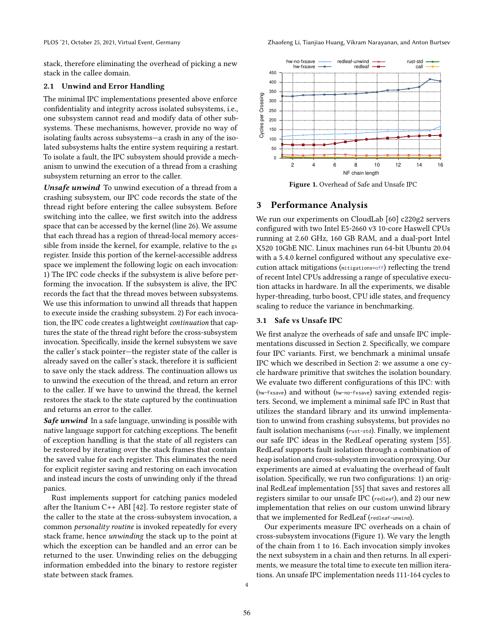stack, therefore eliminating the overhead of picking a new stack in the callee domain.

#### 2.1 Unwind and Error Handling

The minimal IPC implementations presented above enforce confidentiality and integrity across isolated subsystems, i.e., one subsystem cannot read and modify data of other subsystems. These mechanisms, however, provide no way of isolating faults across subsystems—a crash in any of the isolated subsystems halts the entire system requiring a restart. To isolate a fault, the IPC subsystem should provide a mechanism to unwind the execution of a thread from a crashing subsystem returning an error to the caller.

Unsafe unwind To unwind execution of a thread from a crashing subsystem, our IPC code records the state of the thread right before entering the callee subsystem. Before switching into the callee, we first switch into the address space that can be accessed by the kernel (line [26\)](#page-2-12). We assume that each thread has a region of thread-local memory accessible from inside the kernel, for example, relative to the gs register. Inside this portion of the kernel-accessible address space we implement the following logic on each invocation: 1) The IPC code checks if the subsystem is alive before performing the invocation. If the subsystem is alive, the IPC records the fact that the thread moves between subsystems. We use this information to unwind all threads that happen to execute inside the crashing subsystem. 2) For each invocation, the IPC code creates a lightweight continuation that captures the state of the thread right before the cross-subsystem invocation. Specifically, inside the kernel subsystem we save the caller's stack pointer—the register state of the caller is already saved on the caller's stack, therefore it is sufficient to save only the stack address. The continuation allows us to unwind the execution of the thread, and return an error to the caller. If we have to unwind the thread, the kernel restores the stack to the state captured by the continuation and returns an error to the caller.

Safe unwind In a safe language, unwinding is possible with native language support for catching exceptions. The benefit of exception handling is that the state of all registers can be restored by iterating over the stack frames that contain the saved value for each register. This eliminates the need for explicit register saving and restoring on each invocation and instead incurs the costs of unwinding only if the thread panics.

<span id="page-3-0"></span>Rust implements support for catching panics modeled after the Itanium C++ ABI [\[42\]](#page-7-28). To restore register state of the caller to the state at the cross-subsystem invocation, a common personality routine is invoked repeatedly for every stack frame, hence unwinding the stack up to the point at which the exception can be handled and an error can be returned to the user. Unwinding relies on the debugging information embedded into the binary to restore register state between stack frames.

<span id="page-3-1"></span>

Figure 1. Overhead of Safe and Unsafe IPC

### 3 Performance Analysis

We run our experiments on CloudLab [\[60\]](#page-7-29) c220g2 servers configured with two Intel E5-2660 v3 10-core Haswell CPUs running at 2.60 GHz, 160 GB RAM, and a dual-port Intel X520 10GbE NIC. Linux machines run 64-bit Ubuntu 20.04 with a 5.4.0 kernel configured without any speculative execution attack mitigations (mitigations=off) reflecting the trend of recent Intel CPUs addressing a range of speculative execution attacks in hardware. In all the experiments, we disable hyper-threading, turbo boost, CPU idle states, and frequency scaling to reduce the variance in benchmarking.

### 3.1 Safe vs Unsafe IPC

We first analyze the overheads of safe and unsafe IPC implementations discussed in [Section 2.](#page-1-0) Specifically, we compare four IPC variants. First, we benchmark a minimal unsafe IPC which we described in [Section 2:](#page-1-0) we assume a one cycle hardware primitive that switches the isolation boundary. We evaluate two different configurations of this IPC: with (hw-fxsave) and without (hw-no-fxsave) saving extended registers. Second, we implement a minimal safe IPC in Rust that utilizes the standard library and its unwind implementation to unwind from crashing subsystems, but provides no fault isolation mechanisms (rust-std). Finally, we implement our safe IPC ideas in the RedLeaf operating system [\[55\]](#page-7-8). RedLeaf supports fault isolation through a combination of heap isolation and cross-subsystem invocation proxying. Our experiments are aimed at evaluating the overhead of fault isolation. Specifically, we run two configurations: 1) an original RedLeaf implementation [\[55\]](#page-7-8) that saves and restores all registers similar to our unsafe IPC (redleaf), and 2) our new implementation that relies on our custom unwind library that we implemented for RedLeaf (redleaf-unwind).

Our experiments measure IPC overheads on a chain of cross-subsystem invocations [\(Figure 1\)](#page-3-1). We vary the length of the chain from 1 to 16. Each invocation simply invokes the next subsystem in a chain and then returns. In all experiments, we measure the total time to execute ten million iterations. An unsafe IPC implementation needs 111-164 cycles to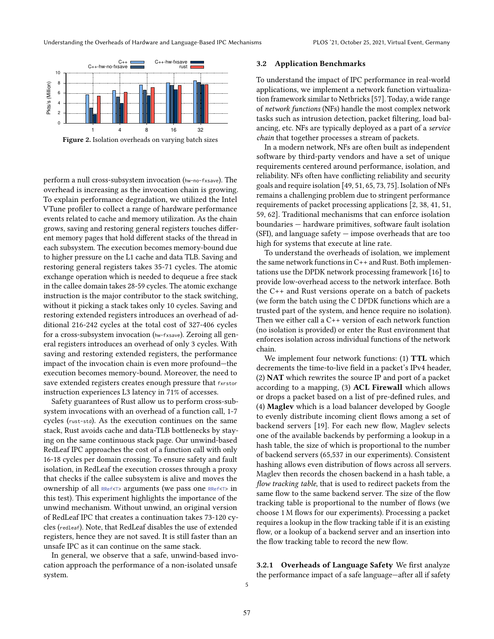<span id="page-4-0"></span>

Figure 2. Isolation overheads on varying batch sizes

perform a null cross-subsystem invocation (hw-no-fxsave). The overhead is increasing as the invocation chain is growing. To explain performance degradation, we utilized the Intel VTune profiler to collect a range of hardware performance events related to cache and memory utilization. As the chain grows, saving and restoring general registers touches different memory pages that hold different stacks of the thread in each subsystem. The execution becomes memory-bound due to higher pressure on the L1 cache and data TLB. Saving and restoring general registers takes 35-71 cycles. The atomic exchange operation which is needed to dequeue a free stack in the callee domain takes 28-59 cycles. The atomic exchange instruction is the major contributor to the stack switching, without it picking a stack takes only 10 cycles. Saving and restoring extended registers introduces an overhead of additional 216-242 cycles at the total cost of 327-406 cycles for a cross-subsystem invocation (hw-fxsave). Zeroing all general registers introduces an overhead of only 3 cycles. With saving and restoring extended registers, the performance impact of the invocation chain is even more profound—the execution becomes memory-bound. Moreover, the need to save extended registers creates enough pressure that fxrstor instruction experiences L3 latency in 71% of accesses.

Safety guarantees of Rust allow us to perform cross-subsystem invocations with an overhead of a function call, 1-7 cycles (rust-std). As the execution continues on the same stack, Rust avoids cache and data-TLB bottlenecks by staying on the same continuous stack page. Our unwind-based RedLeaf IPC approaches the cost of a function call with only 16-18 cycles per domain crossing. To ensure safety and fault isolation, in RedLeaf the execution crosses through a proxy that checks if the callee subsystem is alive and moves the ownership of all RRef<T> arguments (we pass one RRef<T> in this test). This experiment highlights the importance of the unwind mechanism. Without unwind, an original version of RedLeaf IPC that creates a continuation takes 73-120 cycles (redleaf). Note, that RedLeaf disables the use of extended registers, hence they are not saved. It is still faster than an unsafe IPC as it can continue on the same stack.

In general, we observe that a safe, unwind-based invocation approach the performance of a non-isolated unsafe system.

#### 3.2 Application Benchmarks

To understand the impact of IPC performance in real-world applications, we implement a network function virtualization framework similar to Netbricks [\[57\]](#page-7-19). Today, a wide range of network functions (NFs) handle the most complex network tasks such as intrusion detection, packet filtering, load balancing, etc. NFs are typically deployed as a part of a service chain that together processes a stream of packets.

In a modern network, NFs are often built as independent software by third-party vendors and have a set of unique requirements centered around performance, isolation, and reliability. NFs often have conflicting reliability and security goals and require isolation [\[49,](#page-7-30) [51,](#page-7-13) [65,](#page-8-8) [73,](#page-8-9) [75\]](#page-8-10). Isolation of NFs remains a challenging problem due to stringent performance requirements of packet processing applications [\[2,](#page-6-9) [38,](#page-7-11) [41,](#page-7-12) [51,](#page-7-13) [59,](#page-7-14) [62\]](#page-7-15). Traditional mechanisms that can enforce isolation boundaries — hardware primitives, software fault isolation  $(SFI)$ , and language safety  $-$  impose overheads that are too high for systems that execute at line rate.

To understand the overheads of isolation, we implement the same network functions in C++ and Rust. Both implementations use the DPDK network processing framework [\[16\]](#page-6-29) to provide low-overhead access to the network interface. Both the C++ and Rust versions operate on a batch of packets (we form the batch using the C DPDK functions which are a trusted part of the system, and hence require no isolation). Then we either call a C++ version of each network function (no isolation is provided) or enter the Rust environment that enforces isolation across individual functions of the network chain.

We implement four network functions: (1) TTL which decrements the time-to-live field in a packet's IPv4 header, (2) NAT which rewrites the source IP and port of a packet according to a mapping, (3) ACL Firewall which allows or drops a packet based on a list of pre-defined rules, and (4) Maglev which is a load balancer developed by Google to evenly distribute incoming client flows among a set of backend servers [\[19\]](#page-6-30). For each new flow, Maglev selects one of the available backends by performing a lookup in a hash table, the size of which is proportional to the number of backend servers (65,537 in our experiments). Consistent hashing allows even distribution of flows across all servers. Maglev then records the chosen backend in a hash table, a flow tracking table, that is used to redirect packets from the same flow to the same backend server. The size of the flow tracking table is proportional to the number of flows (we choose 1 M flows for our experiments). Processing a packet requires a lookup in the flow tracking table if it is an existing flow, or a lookup of a backend server and an insertion into the flow tracking table to record the new flow.

3.2.1 Overheads of Language Safety We first analyze the performance impact of a safe language—after all if safety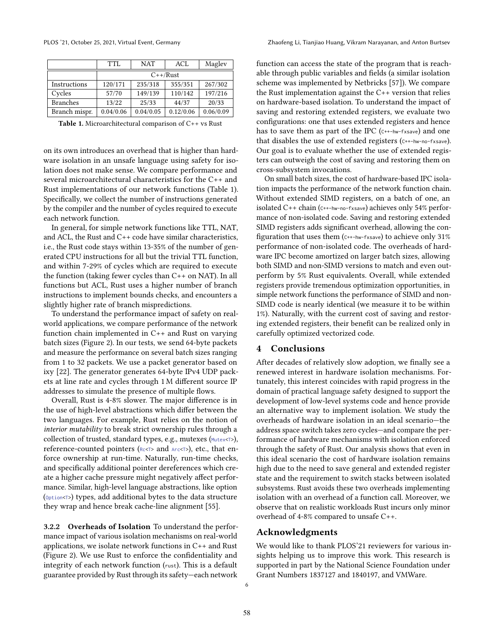<span id="page-5-0"></span>

|                 | TTL        | <b>NAT</b> | ACL       | Maglev    |
|-----------------|------------|------------|-----------|-----------|
|                 | $C++/Rust$ |            |           |           |
| Instructions    | 120/171    | 235/318    | 355/351   | 267/302   |
| Cycles          | 57/70      | 149/139    | 110/142   | 197/216   |
| <b>Branches</b> | 13/22      | 25/33      | 44/37     | 20/33     |
| Branch mispr.   | 0.04/0.06  | 0.04/0.05  | 0.12/0.06 | 0.06/0.09 |

Table 1. Microarchitectural comparison of C++ vs Rust

on its own introduces an overhead that is higher than hardware isolation in an unsafe language using safety for isolation does not make sense. We compare performance and several microarchitectural characteristics for the C++ and Rust implementations of our network functions [\(Table 1\)](#page-5-0). Specifically, we collect the number of instructions generated by the compiler and the number of cycles required to execute each network function.

In general, for simple network functions like TTL, NAT, and ACL, the Rust and C++ code have similar characteristics, i.e., the Rust code stays within 13-35% of the number of generated CPU instructions for all but the trivial TTL function, and within 7-29% of cycles which are required to execute the function (taking fewer cycles than C++ on NAT). In all functions but ACL, Rust uses a higher number of branch instructions to implement bounds checks, and encounters a slightly higher rate of branch mispredictions.

To understand the performance impact of safety on realworld applications, we compare performance of the network function chain implemented in C++ and Rust on varying batch sizes [\(Figure 2\)](#page-4-0). In our tests, we send 64-byte packets and measure the performance on several batch sizes ranging from 1 to 32 packets. We use a packet generator based on ixy [\[22\]](#page-6-31). The generator generates 64-byte IPv4 UDP packets at line rate and cycles through 1 M different source IP addresses to simulate the presence of multiple flows.

Overall, Rust is 4-8% slower. The major difference is in the use of high-level abstractions which differ between the two languages. For example, Rust relies on the notion of interior mutability to break strict ownership rules through a collection of trusted, standard types, e.g., mutexes (Mutex<T>), reference-counted pointers (Rc<T> and Arc<T>), etc., that enforce ownership at run-time. Naturally, run-time checks, and specifically additional pointer dereferences which create a higher cache pressure might negatively affect performance. Similar, high-level language abstractions, like option (Option<T>) types, add additional bytes to the data structure they wrap and hence break cache-line alignment [\[55\]](#page-7-8).

3.2.2 Overheads of Isolation To understand the performance impact of various isolation mechanisms on real-world applications, we isolate network functions in C++ and Rust [\(Figure 2\)](#page-4-0). We use Rust to enforce the confidentiality and integrity of each network function (rust). This is a default guarantee provided by Rust through its safety—each network

function can access the state of the program that is reachable through public variables and fields (a similar isolation scheme was implemented by Netbricks [\[57\]](#page-7-19)). We compare the Rust implementation against the C++ version that relies on hardware-based isolation. To understand the impact of saving and restoring extended registers, we evaluate two configurations: one that uses extended registers and hence has to save them as part of the IPC (C++-hw-fxsave) and one that disables the use of extended registers (C++-hw-no-fxsave). Our goal is to evaluate whether the use of extended registers can outweigh the cost of saving and restoring them on cross-subsystem invocations.

On small batch sizes, the cost of hardware-based IPC isolation impacts the performance of the network function chain. Without extended SIMD registers, on a batch of one, an isolated C++ chain (C++-hw-no-fxsave) achieves only 54% performance of non-isolated code. Saving and restoring extended SIMD registers adds significant overhead, allowing the configuration that uses them ( $c++-$ hw-fxsave) to achieve only 31% performance of non-isolated code. The overheads of hardware IPC become amortized on larger batch sizes, allowing both SIMD and non-SIMD versions to match and even outperform by 5% Rust equivalents. Overall, while extended registers provide tremendous optimization opportunities, in simple network functions the performance of SIMD and non-SIMD code is nearly identical (we measure it to be within 1%). Naturally, with the current cost of saving and restoring extended registers, their benefit can be realized only in carefully optimized vectorized code.

#### 4 Conclusions

After decades of relatively slow adoption, we finally see a renewed interest in hardware isolation mechanisms. Fortunately, this interest coincides with rapid progress in the domain of practical language safety designed to support the development of low-level systems code and hence provide an alternative way to implement isolation. We study the overheads of hardware isolation in an ideal scenario—the address space switch takes zero cycles—and compare the performance of hardware mechanisms with isolation enforced through the safety of Rust. Our analysis shows that even in this ideal scenario the cost of hardware isolation remains high due to the need to save general and extended register state and the requirement to switch stacks between isolated subsystems. Rust avoids these two overheads implementing isolation with an overhead of a function call. Moreover, we observe that on realistic workloads Rust incurs only minor overhead of 4-8% compared to unsafe C++.

# Acknowledgments

We would like to thank PLOS'21 reviewers for various insights helping us to improve this work. This research is supported in part by the National Science Foundation under Grant Numbers 1837127 and 1840197, and VMWare.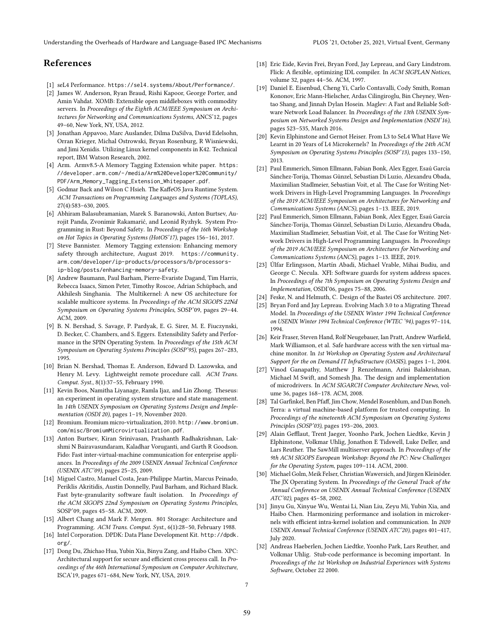# References

- <span id="page-6-1"></span>[1] seL4 Performance. <https://sel4.systems/About/Performance/>.
- <span id="page-6-9"></span>[2] James W. Anderson, Ryan Braud, Rishi Kapoor, George Porter, and Amin Vahdat. XOMB: Extensible open middleboxes with commodity servers. In Proceedings of the Eighth ACM/IEEE Symposium on Architectures for Networking and Communications Systems, ANCS'12, pages 49–60, New York, NY, USA, 2012.
- <span id="page-6-19"></span>[3] Jonathan Appavoo, Marc Auslander, Dilma DaSilva, David Edelsohn, Orran Krieger, Michal Ostrowski, Bryan Rosenburg, R Wisniewski, and Jimi Xenidis. Utilizing Linux kernel components in K42. Technical report, IBM Watson Research, 2002.
- <span id="page-6-2"></span>[4] Arm. Armv8.5-A Memory Tagging Extension white paper. [https:](https://developer.arm.com/-/media/Arm%20Developer%20Community/PDF/Arm_Memory_Tagging_Extension_Whitepaper.pdf) [//developer.arm.com/-/media/Arm%20Developer%20Community/](https://developer.arm.com/-/media/Arm%20Developer%20Community/PDF/Arm_Memory_Tagging_Extension_Whitepaper.pdf) [PDF/Arm\\_Memory\\_Tagging\\_Extension\\_Whitepaper.pdf](https://developer.arm.com/-/media/Arm%20Developer%20Community/PDF/Arm_Memory_Tagging_Extension_Whitepaper.pdf).
- <span id="page-6-16"></span>[5] Godmar Back and Wilson C Hsieh. The KaffeOS Java Runtime System. ACM Transactions on Programming Languages and Systems (TOPLAS), 27(4):583–630, 2005.
- <span id="page-6-5"></span>[6] Abhiram Balasubramanian, Marek S. Baranowski, Anton Burtsev, Aurojit Panda, Zvonimir Rakamarić, and Leonid Ryzhyk. System Programming in Rust: Beyond Safety. In Proceedings of the 16th Workshop on Hot Topics in Operating Systems (HotOS'17), pages 156–161, 2017.
- <span id="page-6-3"></span>[7] Steve Bannister. Memory Tagging extension: Enhancing memory safety through architecture, August 2019. [https://community.](https://community.arm.com/developer/ip-products/processors/b/processors-ip-blog/posts/enhancing-memory-safety) [arm.com/developer/ip-products/processors/b/processors](https://community.arm.com/developer/ip-products/processors/b/processors-ip-blog/posts/enhancing-memory-safety)[ip-blog/posts/enhancing-memory-safety](https://community.arm.com/developer/ip-products/processors/b/processors-ip-blog/posts/enhancing-memory-safety).
- <span id="page-6-20"></span>[8] Andrew Baumann, Paul Barham, Pierre-Evariste Dagand, Tim Harris, Rebecca Isaacs, Simon Peter, Timothy Roscoe, Adrian Schüpbach, and Akhilesh Singhania. The Multikernel: A new OS architecture for scalable multicore systems. In Proceedings of the ACM SIGOPS 22Nd Symposium on Operating Systems Principles, SOSP'09, pages 29–44. ACM, 2009.
- <span id="page-6-17"></span>[9] B. N. Bershad, S. Savage, P. Pardyak, E. G. Sirer, M. E. Fiuczynski, D. Becker, C. Chambers, and S. Eggers. Extensibility Safety and Performance in the SPIN Operating System. In Proceedings of the 15th ACM Symposium on Operating Systems Principles (SOSP'95), pages 267–283, 1995.
- <span id="page-6-23"></span>[10] Brian N. Bershad, Thomas E. Anderson, Edward D. Lazowska, and Henry M. Levy. Lightweight remote procedure call. ACM Trans. Comput. Syst., 8(1):37–55, February 1990.
- <span id="page-6-6"></span>[11] Kevin Boos, Namitha Liyanage, Ramla Ijaz, and Lin Zhong. Theseus: an experiment in operating system structure and state management. In 14th USENIX Symposium on Operating Systems Design and Implementation (OSDI 20), pages 1–19, November 2020.
- <span id="page-6-13"></span>[12] Bromium. Bromium micro-virtualization, 2010. [http://www.bromium.](http://www.bromium.com/misc/BromiumMicrovirtualization.pdf) [com/misc/BromiumMicrovirtualization.pdf](http://www.bromium.com/misc/BromiumMicrovirtualization.pdf).
- <span id="page-6-12"></span>[13] Anton Burtsev, Kiran Srinivasan, Prashanth Radhakrishnan, Lakshmi N Bairavasundaram, Kaladhar Voruganti, and Garth R Goodson. Fido: Fast inter-virtual-machine communication for enterprise appliances. In Proceedings of the 2009 USENIX Annual Technical Conference (USENIX ATC'09), pages 25–25, 2009.
- <span id="page-6-25"></span>[14] Miguel Castro, Manuel Costa, Jean-Philippe Martin, Marcus Peinado, Periklis Akritidis, Austin Donnelly, Paul Barham, and Richard Black. Fast byte-granularity software fault isolation. In Proceedings of the ACM SIGOPS 22nd Symposium on Operating Systems Principles, SOSP'09, pages 45–58. ACM, 2009.
- <span id="page-6-8"></span>[15] Albert Chang and Mark F. Mergen. 801 Storage: Architecture and Programming. ACM Trans. Comput. Syst., 6(1):28–50, February 1988.
- <span id="page-6-29"></span>[16] Intel Corporation. DPDK: Data Plane Development Kit. [http://dpdk.](http://dpdk.org/) [org/](http://dpdk.org/).
- <span id="page-6-0"></span>[17] Dong Du, Zhichao Hua, Yubin Xia, Binyu Zang, and Haibo Chen. XPC: Architectural support for secure and efficient cross process call. In Proceedings of the 46th International Symposium on Computer Architecture, ISCA'19, pages 671–684, New York, NY, USA, 2019.
- <span id="page-6-27"></span>[18] Eric Eide, Kevin Frei, Bryan Ford, Jay Lepreau, and Gary Lindstrom. Flick: A flexible, optimizing IDL compiler. In ACM SIGPLAN Notices, volume 32, pages 44–56. ACM, 1997.
- <span id="page-6-30"></span>[19] Daniel E. Eisenbud, Cheng Yi, Carlo Contavalli, Cody Smith, Roman Kononov, Eric Mann-Hielscher, Ardas Cilingiroglu, Bin Cheyney, Wentao Shang, and Jinnah Dylan Hosein. Maglev: A Fast and Reliable Software Network Load Balancer. In Proceedings of the 13th USENIX Symposium on Networked Systems Design and Implementation (NSDI'16), pages 523–535, March 2016.
- <span id="page-6-21"></span>[20] Kevin Elphinstone and Gernot Heiser. From L3 to SeL4 What Have We Learnt in 20 Years of L4 Microkernels? In Proceedings of the 24th ACM Symposium on Operating Systems Principles (SOSP'13), pages 133–150, 2013.
- <span id="page-6-4"></span>[21] Paul Emmerich, Simon Ellmann, Fabian Bonk, Alex Egger, Esaú García Sánchez-Torija, Thomas Günzel, Sebastian Di Luzio, Alexandru Obada, Maximilian Stadlmeier, Sebastian Voit, et al. The Case for Writing Network Drivers in High-Level Programming Languages. In Proceedings of the 2019 ACM/IEEE Symposium on Architectures for Networking and Communications Systems (ANCS), pages 1–13. IEEE, 2019.
- <span id="page-6-31"></span>[22] Paul Emmerich, Simon Ellmann, Fabian Bonk, Alex Egger, Esaú García Sánchez-Torija, Thomas Günzel, Sebastian Di Luzio, Alexandru Obada, Maximilian Stadlmeier, Sebastian Voit, et al. The Case for Writing Network Drivers in High-Level Programming Languages. In Proceedings of the 2019 ACM/IEEE Symposium on Architectures for Networking and Communications Systems (ANCS), pages 1–13. IEEE, 2019.
- <span id="page-6-26"></span>[23] Úlfar Erlingsson, Martín Abadi, Michael Vrable, Mihai Budiu, and George C. Necula. XFI: Software guards for system address spaces. In Proceedings of the 7th Symposium on Operating Systems Design and Implementation, OSDI'06, pages 75–88, 2006.
- <span id="page-6-14"></span>[24] Feske, N. and Helmuth, C. Design of the Bastei OS architecture. 2007.
- <span id="page-6-22"></span>[25] Bryan Ford and Jay Lepreau. Evolving Mach 3.0 to a Migrating Thread Model. In Proceedings of the USENIX Winter 1994 Technical Conference on USENIX Winter 1994 Technical Conference (WTEC '94), pages 97–114, 1994.
- <span id="page-6-24"></span>[26] Keir Fraser, Steven Hand, Rolf Neugebauer, Ian Pratt, Andrew Warfield, Mark Williamson, et al. Safe hardware access with the xen virtual machine monitor. In 1st Workshop on Operating System and Architectural Support for the on Demand IT InfraStructure (OASIS), pages 1–1, 2004.
- <span id="page-6-10"></span>[27] Vinod Ganapathy, Matthew J Renzelmann, Arini Balakrishnan, Michael M Swift, and Somesh Jha. The design and implementation of microdrivers. In ACM SIGARCH Computer Architecture News, volume 36, pages 168–178. ACM, 2008.
- <span id="page-6-15"></span>[28] Tal Garfinkel, Ben Pfaff, Jim Chow, Mendel Rosenblum, and Dan Boneh. Terra: a virtual machine-based platform for trusted computing. In Proceedings of the nineteenth ACM Symposium on Operating Systems Principles (SOSP'03), pages 193–206, 2003.
- <span id="page-6-11"></span>[29] Alain Gefflaut, Trent Jaeger, Yoonho Park, Jochen Liedtke, Kevin J Elphinstone, Volkmar Uhlig, Jonathon E Tidswell, Luke Deller, and Lars Reuther. The SawMill multiserver approach. In Proceedings of the 9th ACM SIGOPS European Workshop: Beyond the PC: New Challenges for the Operating System, pages 109–114. ACM, 2000.
- <span id="page-6-18"></span>[30] Michael Golm, Meik Felser, Christian Wawersich, and Jürgen Kleinöder. The JX Operating System. In Proceedings of the General Track of the Annual Conference on USENIX Annual Technical Conference (USENIX ATC'02), pages 45–58, 2002.
- <span id="page-6-7"></span>[31] Jinyu Gu, Xinyue Wu, Wentai Li, Nian Liu, Zeyu Mi, Yubin Xia, and Haibo Chen. Harmonizing performance and isolation in microkernels with efficient intra-kernel isolation and communication. In 2020 USENIX Annual Technical Conference (USENIX ATC'20), pages 401–417, July 2020.
- <span id="page-6-28"></span>[32] Andreas Haeberlen, Jochen Liedtke, Yoonho Park, Lars Reuther, and Volkmar Uhlig. Stub-code performance is becoming important. In Proceedings of the 1st Workshop on Industrial Experiences with Systems Software, October 22 2000.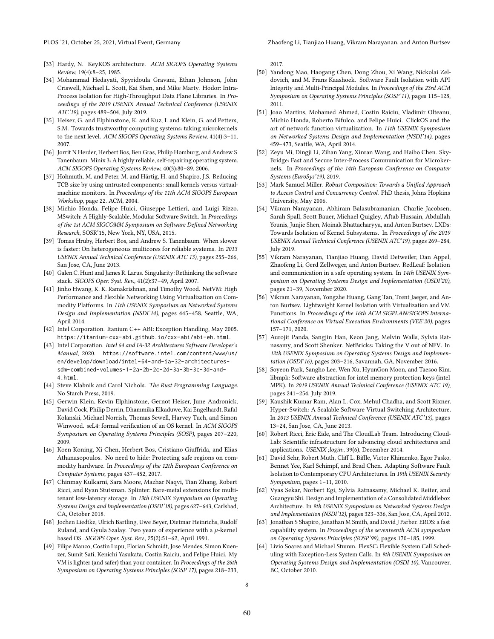- <span id="page-7-16"></span>[33] Hardy, N. KeyKOS architecture. ACM SIGOPS Operating Systems Review, 19(4):8–25, 1985.
- <span id="page-7-1"></span>[34] Mohammad Hedayati, Spyridoula Gravani, Ethan Johnson, John Criswell, Michael L. Scott, Kai Shen, and Mike Marty. Hodor: Intra-Process Isolation for High-Throughput Data Plane Libraries. In Proceedings of the 2019 USENIX Annual Technical Conference (USENIX ATC'19), pages 489–504, July 2019.
- <span id="page-7-17"></span>[35] Heiser, G. and Elphinstone, K. and Kuz, I. and Klein, G. and Petters, S.M. Towards trustworthy computing systems: taking microkernels to the next level. ACM SIGOPS Operating Systems Review, 41(4):3–11, 2007.
- [36] Jorrit N Herder, Herbert Bos, Ben Gras, Philip Homburg, and Andrew S Tanenbaum. Minix 3: A highly reliable, self-repairing operating system. ACM SIGOPS Operating Systems Review, 40(3):80–89, 2006.
- <span id="page-7-18"></span>[37] Hohmuth, M. and Peter, M. and Härtig, H. and Shapiro, J.S. Reducing TCB size by using untrusted components: small kernels versus virtualmachine monitors. In Proceedings of the 11th ACM SIGOPS European Workshop, page 22. ACM, 2004.
- <span id="page-7-11"></span>[38] Michio Honda, Felipe Huici, Giuseppe Lettieri, and Luigi Rizzo. MSwitch: A Highly-Scalable, Modular Software Switch. In Proceedings of the 1st ACM SIGCOMM Symposium on Software Defined Networking Research, SOSR'15, New York, NY, USA, 2015.
- <span id="page-7-20"></span>[39] Tomas Hruby, Herbert Bos, and Andrew S. Tanenbaum. When slower is faster: On heterogeneous multicores for reliable systems. In 2013 USENIX Annual Technical Conference (USENIX ATC 13), pages 255–266, San Jose, CA, June 2013.
- <span id="page-7-6"></span>[40] Galen C. Hunt and James R. Larus. Singularity: Rethinking the software stack. SIGOPS Oper. Syst. Rev., 41(2):37–49, April 2007.
- <span id="page-7-12"></span>[41] Jinho Hwang, K. K. Ramakrishnan, and Timothy Wood. NetVM: High Performance and Flexible Networking Using Virtualization on Commodity Platforms. In 11th USENIX Symposium on Networked Systems Design and Implementation (NSDI'14), pages 445–458, Seattle, WA, April 2014.
- <span id="page-7-28"></span>[42] Intel Corporation. Itanium C++ ABI: Exception Handling, May 2005. <https://itanium-cxx-abi.github.io/cxx-abi/abi-eh.html>.
- <span id="page-7-0"></span>[43] Intel Corporation. Intel 64 and IA-32 Architectures Software Developer's Manual, 2020. [https://software.intel.com/content/www/us/]( https://software.intel.com/content/www/us/en/develop/download/intel-64-and-ia-32-architectures-sdm-combined-volumes-1-2a-2b-2c-2d-3a-3b-3c-3d-and-4.html) [en/develop/download/intel-64-and-ia-32-architectures]( https://software.intel.com/content/www/us/en/develop/download/intel-64-and-ia-32-architectures-sdm-combined-volumes-1-2a-2b-2c-2d-3a-3b-3c-3d-and-4.html)[sdm-combined-volumes-1-2a-2b-2c-2d-3a-3b-3c-3d-and-]( https://software.intel.com/content/www/us/en/develop/download/intel-64-and-ia-32-architectures-sdm-combined-volumes-1-2a-2b-2c-2d-3a-3b-3c-3d-and-4.html)[4.html]( https://software.intel.com/content/www/us/en/develop/download/intel-64-and-ia-32-architectures-sdm-combined-volumes-1-2a-2b-2c-2d-3a-3b-3c-3d-and-4.html).
- <span id="page-7-5"></span>[44] Steve Klabnik and Carol Nichols. The Rust Programming Language. No Starch Press, 2019.
- <span id="page-7-21"></span>[45] Gerwin Klein, Kevin Elphinstone, Gernot Heiser, June Andronick, David Cock, Philip Derrin, Dhammika Elkaduwe, Kai Engelhardt, Rafal Kolanski, Michael Norrish, Thomas Sewell, Harvey Tuch, and Simon Winwood. seL4: formal verification of an OS kernel. In ACM SIGOPS Symposium on Operating Systems Principles (SOSP), pages 207–220, 2009.
- <span id="page-7-4"></span>[46] Koen Koning, Xi Chen, Herbert Bos, Cristiano Giuffrida, and Elias Athanasopoulos. No need to hide: Protecting safe regions on commodity hardware. In Proceedings of the 12th European Conference on Computer Systems, pages 437–452, 2017.
- <span id="page-7-7"></span>[47] Chinmay Kulkarni, Sara Moore, Mazhar Naqvi, Tian Zhang, Robert Ricci, and Ryan Stutsman. Splinter: Bare-metal extensions for multitenant low-latency storage. In 13th USENIX Symposium on Operating Systems Design and Implementation (OSDI'18), pages 627–643, Carlsbad, CA, October 2018.
- <span id="page-7-22"></span>[48] Jochen Liedtke, Ulrich Bartling, Uwe Beyer, Dietmar Heinrichs, Rudolf Ruland, and Gyula Szalay. Two years of experience with a  $\mu$ -kernel based OS. SIGOPS Oper. Syst. Rev., 25(2):51–62, April 1991.
- <span id="page-7-30"></span>[49] Filipe Manco, Costin Lupu, Florian Schmidt, Jose Mendes, Simon Kuenzer, Sumit Sati, Kenichi Yasukata, Costin Raiciu, and Felipe Huici. My VM is lighter (and safer) than your container. In Proceedings of the 26th Symposium on Operating Systems Principles (SOSP'17), pages 218–233,

2017.

- <span id="page-7-26"></span>[50] Yandong Mao, Haogang Chen, Dong Zhou, Xi Wang, Nickolai Zeldovich, and M. Frans Kaashoek. Software Fault Isolation with API Integrity and Multi-Principal Modules. In Proceedings of the 23rd ACM Symposium on Operating Systems Principles (SOSP'11), pages 115–128, 2011.
- <span id="page-7-13"></span>[51] Joao Martins, Mohamed Ahmed, Costin Raiciu, Vladimir Olteanu, Michio Honda, Roberto Bifulco, and Felipe Huici. ClickOS and the art of network function virtualization. In 11th USENIX Symposium on Networked Systems Design and Implementation (NSDI'14), pages 459–473, Seattle, WA, April 2014.
- <span id="page-7-2"></span>[52] Zeyu Mi, Dingji Li, Zihan Yang, Xinran Wang, and Haibo Chen. Sky-Bridge: Fast and Secure Inter-Process Communication for Microkernels. In Proceedings of the 14th European Conference on Computer Systems (EuroSys'19), 2019.
- <span id="page-7-27"></span>[53] Mark Samuel Miller. Robust Composition: Towards a Unified Approach to Access Control and Concurrency Control. PhD thesis, Johns Hopkins University, May 2006.
- <span id="page-7-24"></span>[54] Vikram Narayanan, Abhiram Balasubramanian, Charlie Jacobsen, Sarah Spall, Scott Bauer, Michael Quigley, Aftab Hussain, Abdullah Younis, Junjie Shen, Moinak Bhattacharyya, and Anton Burtsev. LXDs: Towards Isolation of Kernel Subsystems. In Proceedings of the 2019 USENIX Annual Technical Conference (USENIX ATC'19), pages 269–284, July 2019.
- <span id="page-7-8"></span>[55] Vikram Narayanan, Tianjiao Huang, David Detweiler, Dan Appel, Zhaofeng Li, Gerd Zellweger, and Anton Burtsev. RedLeaf: Isolation and communication in a safe operating system. In 14th USENIX Symposium on Operating Systems Design and Implementation (OSDI'20), pages 21–39, November 2020.
- <span id="page-7-3"></span>[56] Vikram Narayanan, Yongzhe Huang, Gang Tan, Trent Jaeger, and Anton Burtsev. Lightweight Kernel Isolation with Virtualization and VM Functions. In Proceedings of the 16th ACM SIGPLAN/SIGOPS International Conference on Virtual Execution Environments (VEE'20), pages 157–171, 2020.
- <span id="page-7-19"></span>[57] Aurojit Panda, Sangjin Han, Keon Jang, Melvin Walls, Sylvia Ratnasamy, and Scott Shenker. NetBricks: Taking the V out of NFV. In 12th USENIX Symposium on Operating Systems Design and Implementation (OSDI'16), pages 203–216, Savannah, GA, November 2016.
- <span id="page-7-9"></span>[58] Soyeon Park, Sangho Lee, Wen Xu, HyunGon Moon, and Taesoo Kim. libmpk: Software abstraction for intel memory protection keys (intel MPK). In 2019 USENIX Annual Technical Conference (USENIX ATC 19), pages 241–254, July 2019.
- <span id="page-7-14"></span>[59] Kaushik Kumar Ram, Alan L. Cox, Mehul Chadha, and Scott Rixner. Hyper-Switch: A Scalable Software Virtual Switching Architecture. In 2013 USENIX Annual Technical Conference (USENIX ATC'13), pages 13–24, San Jose, CA, June 2013.
- <span id="page-7-29"></span>[60] Robert Ricci, Eric Eide, and The CloudLab Team. Introducing Cloud-Lab: Scientific infrastructure for advancing cloud architectures and applications. USENIX ;login:, 39(6), December 2014.
- <span id="page-7-10"></span>[61] David Sehr, Robert Muth, Cliff L. Biffle, Victor Khimenko, Egor Pasko, Bennet Yee, Karl Schimpf, and Brad Chen. Adapting Software Fault Isolation to Contemporary CPU Architectures. In 19th USENIX Security Symposium, pages 1–11, 2010.
- <span id="page-7-15"></span>[62] Vyas Sekar, Norbert Egi, Sylvia Ratnasamy, Michael K. Reiter, and Guangyu Shi. Design and Implementation of a Consolidated Middlebox Architecture. In 9th USENIX Symposium on Networked Systems Design and Implementation (NSDI'12), pages 323–336, San Jose, CA, April 2012.
- <span id="page-7-23"></span>[63] Jonathan S Shapiro, Jonathan M Smith, and David J Farber. EROS: a fast capability system. In Proceedings of the seventeenth ACM symposium on Operating Systems Principles (SOSP'99), pages 170–185, 1999.
- <span id="page-7-25"></span>[64] Livio Soares and Michael Stumm. FlexSC: Flexible System Call Scheduling with Exception-Less System Calls. In 9th USENIX Symposium on Operating Systems Design and Implementation (OSDI 10), Vancouver, BC, October 2010.